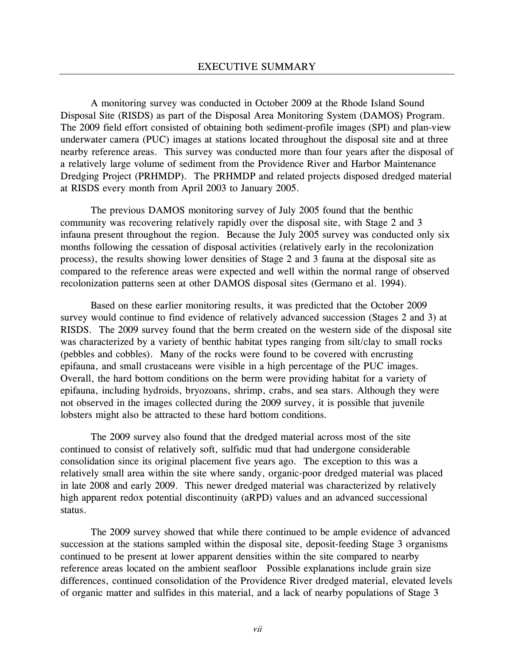A monitoring survey was conducted in October 2009 at the Rhode Island Sound Disposal Site (RISDS) as part of the Disposal Area Monitoring System (DAMOS) Program. The 2009 field effort consisted of obtaining both sediment-profile images (SPI) and plan-view underwater camera (PUC) images at stations located throughout the disposal site and at three nearby reference areas. This survey was conducted more than four years after the disposal of a relatively large volume of sediment from the Providence River and Harbor Maintenance Dredging Project (PRHMDP). The PRHMDP and related projects disposed dredged material at RISDS every month from April 2003 to January 2005.

The previous DAMOS monitoring survey of July 2005 found that the benthic community was recovering relatively rapidly over the disposal site, with Stage 2 and 3 infauna present throughout the region. Because the July 2005 survey was conducted only six months following the cessation of disposal activities (relatively early in the recolonization process), the results showing lower densities of Stage 2 and 3 fauna at the disposal site as compared to the reference areas were expected and well within the normal range of observed recolonization patterns seen at other DAMOS disposal sites (Germano et al. 1994).

Based on these earlier monitoring results, it was predicted that the October 2009 survey would continue to find evidence of relatively advanced succession (Stages 2 and 3) at RISDS. The 2009 survey found that the berm created on the western side of the disposal site was characterized by a variety of benthic habitat types ranging from silt/clay to small rocks (pebbles and cobbles). Many of the rocks were found to be covered with encrusting epifauna, and small crustaceans were visible in a high percentage of the PUC images. Overall, the hard bottom conditions on the berm were providing habitat for a variety of epifauna, including hydroids, bryozoans, shrimp, crabs, and sea stars. Although they were not observed in the images collected during the 2009 survey, it is possible that juvenile lobsters might also be attracted to these hard bottom conditions.

The 2009 survey also found that the dredged material across most of the site continued to consist of relatively soft, sulfidic mud that had undergone considerable consolidation since its original placement five years ago. The exception to this was a relatively small area within the site where sandy, organic-poor dredged material was placed in late 2008 and early 2009. This newer dredged material was characterized by relatively high apparent redox potential discontinuity (aRPD) values and an advanced successional status.

The 2009 survey showed that while there continued to be ample evidence of advanced succession at the stations sampled within the disposal site, deposit-feeding Stage 3 organisms continued to be present at lower apparent densities within the site compared to nearby reference areas located on the ambient seafloor Possible explanations include grain size differences, continued consolidation of the Providence River dredged material, elevated levels of organic matter and sulfides in this material, and a lack of nearby populations of Stage 3